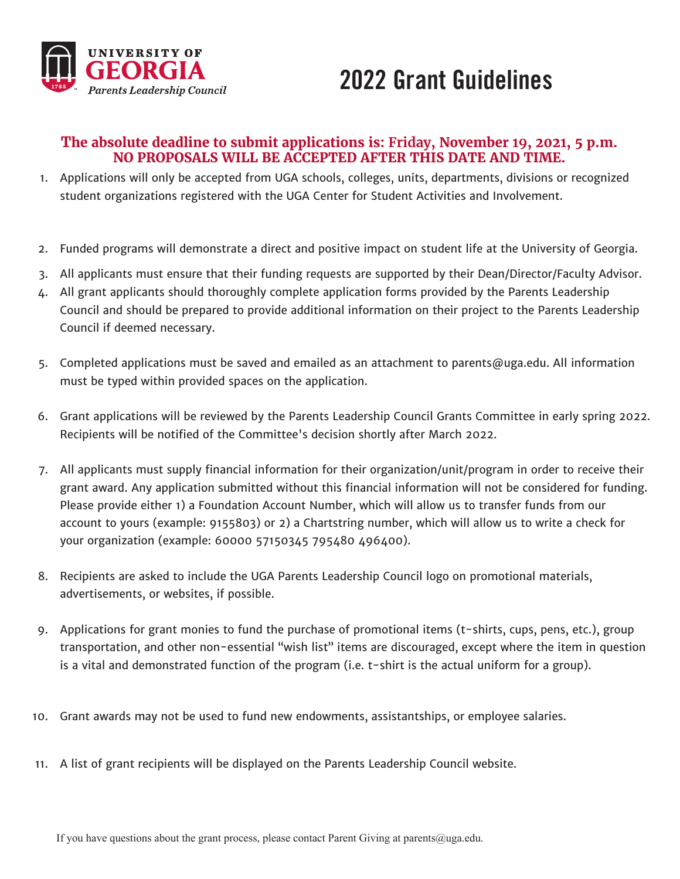

## 2022 Grant Guidelines

#### **The absolute deadline to submit applications is: Friday, November 19, 2021, 5 p.m. NO PROPOSALS WILL BE ACCEPTED AFTER THIS DATE AND TIME.**

- 1. Applications will only be accepted from UGA schools, colleges, units, departments, divisions or recognized student organizations registered with the UGA Center for Student Activities and Involvement.
- 2. Funded programs will demonstrate a direct and positive impact on student life at the University of Georgia.
- 3. All applicants must ensure that their funding requests are supported by their Dean/Director/Faculty Advisor.
- 4. All grant applicants should thoroughly complete application forms provided by the Parents Leadership Council and should be prepared to provide additional information on their project to the Parents Leadership Council if deemed necessary.
- 5. Completed applications must be saved and emailed as an attachment to parents@uga.edu. All information must be typed within provided spaces on the application.
- 6. Grant applications will be reviewed by the Parents Leadership Council Grants Committee in early spring 2022. Recipients will be notified of the Committee's decision shortly after March 2022.
- 7. All applicants must supply financial information for their organization/unit/program in order to receive their grant award. Any application submitted without this financial information will not be considered for funding. Please provide either 1) a Foundation Account Number, which will allow us to transfer funds from our account to yours (example: 9155803) or 2) a Chartstring number, which will allow us to write a check for your organization (example: 60000 57150345 795480 496400).
- 8. Recipients are asked to include the UGA Parents Leadership Council logo on promotional materials, advertisements, or websites, if possible.
- 9. Applications for grant monies to fund the purchase of promotional items (t-shirts, cups, pens, etc.), group transportation, and other non-essential "wish list" items are discouraged, except where the item in question is a vital and demonstrated function of the program (i.e. t-shirt is the actual uniform for a group).
- 10. Grant awards may not be used to fund new endowments, assistantships, or employee salaries.
- 11. A list of grant recipients will be displayed on the Parents Leadership Council website.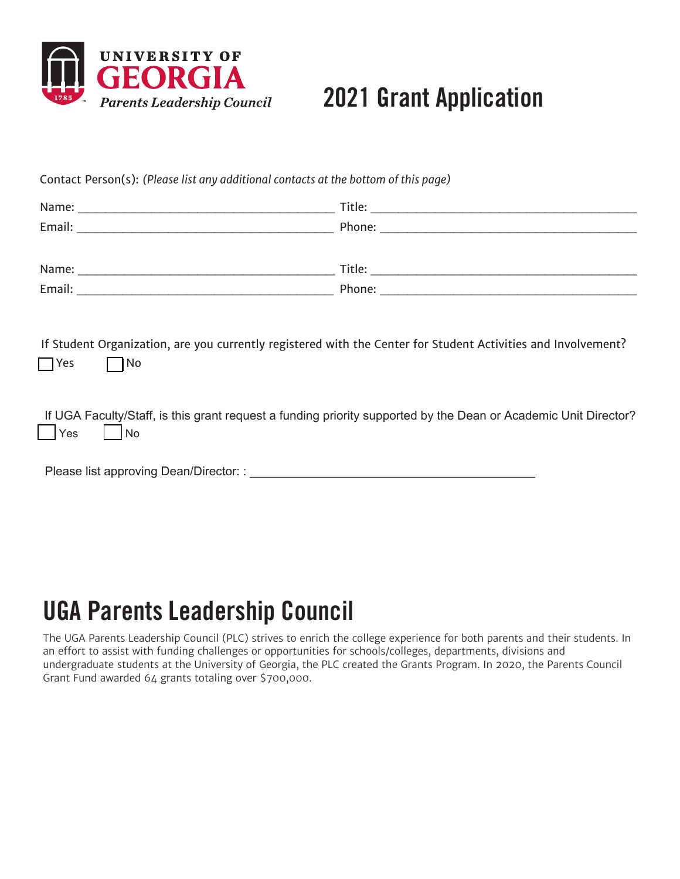

# 2021 Grant Application

Contact Person(s): *(Please list any additional contacts at the bottom of this page)*

| Name:  | Title: |
|--------|--------|
| Email: | Phone: |
|        |        |
| Name:  | Title: |
| Email: | Phone: |
|        |        |

If Student Organization, are you currently registered with the Center for Student Activities and Involvement?  $\Box$  Yes  $\Box$  No

If UGA Faculty/Staff, is this grant request a funding priority supported by the Dean or Academic Unit Director?  $Yes$   $No$ 

Please list approving Dean/Director: :

# UGA Parents Leadership Council

The UGA Parents Leadership Council (PLC) strives to enrich the college experience for both parents and their students. In an effort to assist with funding challenges or opportunities for schools/colleges, departments, divisions and undergraduate students at the University of Georgia, the PLC created the Grants Program. In 2020, the Parents Council Grant Fund awarded 64 grants totaling over \$700,000.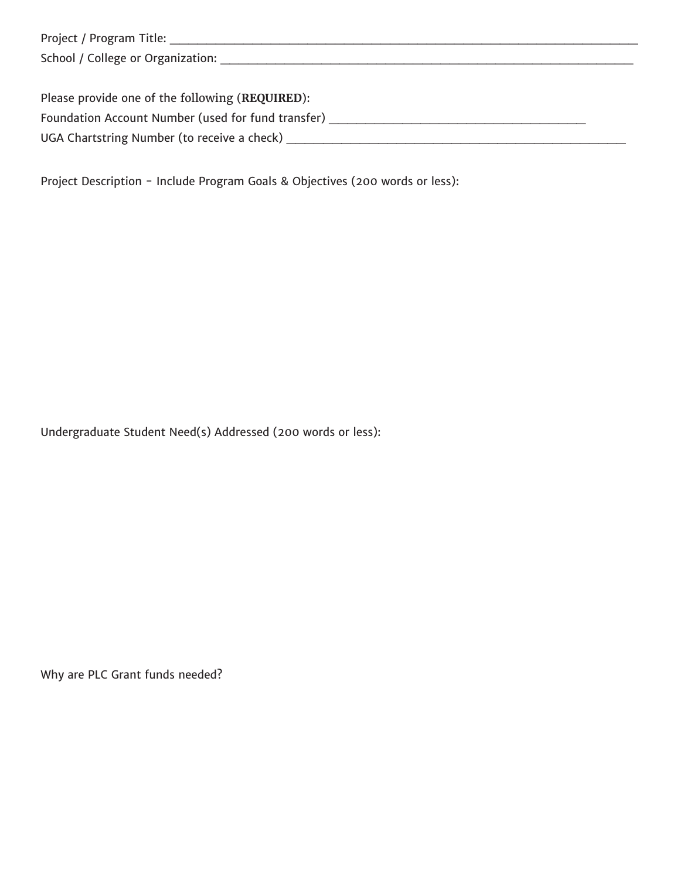| Project / Program Title:                                                                           |
|----------------------------------------------------------------------------------------------------|
| School / College or Organization:                                                                  |
|                                                                                                    |
| $D_{\text{break}}$ $\mu_{\text{sub}}$ , $d_{\text{max}}$ and $d_{\text{max}}$ following (DEOUDED). |

| Please provide one of the following (REQUIRED):    |  |
|----------------------------------------------------|--|
| Foundation Account Number (used for fund transfer) |  |
| UGA Chartstring Number (to receive a check)        |  |

Project Description - Include Program Goals & Objectives (200 words or less):

Undergraduate Student Need(s) Addressed (200 words or less):

Why are PLC Grant funds needed?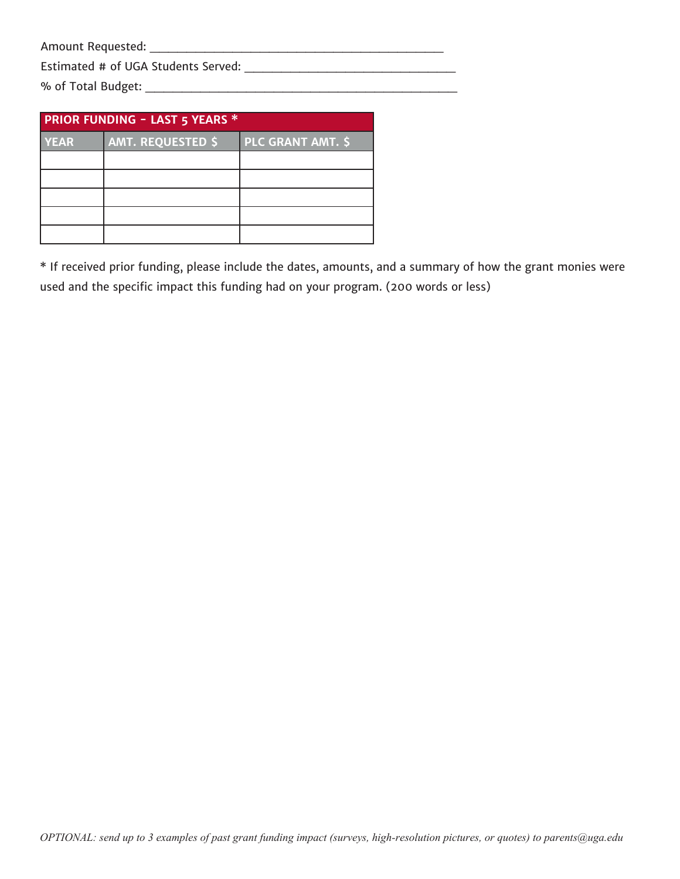Amount Requested: \_\_\_\_\_\_\_\_\_\_\_\_\_\_\_\_\_\_\_\_\_\_\_\_\_\_\_\_\_\_\_\_

Estimated # of UGA Students Served: \_\_\_\_\_\_\_\_\_\_\_\_\_\_\_\_\_\_\_\_\_\_\_

% of Total Budget: \_\_\_\_\_\_\_\_\_\_\_\_\_\_\_\_\_\_\_\_\_\_\_\_\_\_\_\_\_\_\_\_\_\_

| <b>PRIOR FUNDING - LAST 5 YEARS *</b> |                          |                          |  |  |  |
|---------------------------------------|--------------------------|--------------------------|--|--|--|
| YEAR                                  | <b>AMT. REQUESTED \$</b> | <b>PLC GRANT AMT. \$</b> |  |  |  |
|                                       |                          |                          |  |  |  |
|                                       |                          |                          |  |  |  |
|                                       |                          |                          |  |  |  |
|                                       |                          |                          |  |  |  |
|                                       |                          |                          |  |  |  |

\* If received prior funding, please include the dates, amounts, and a summary of how the grant monies were used and the specific impact this funding had on your program. (200 words or less)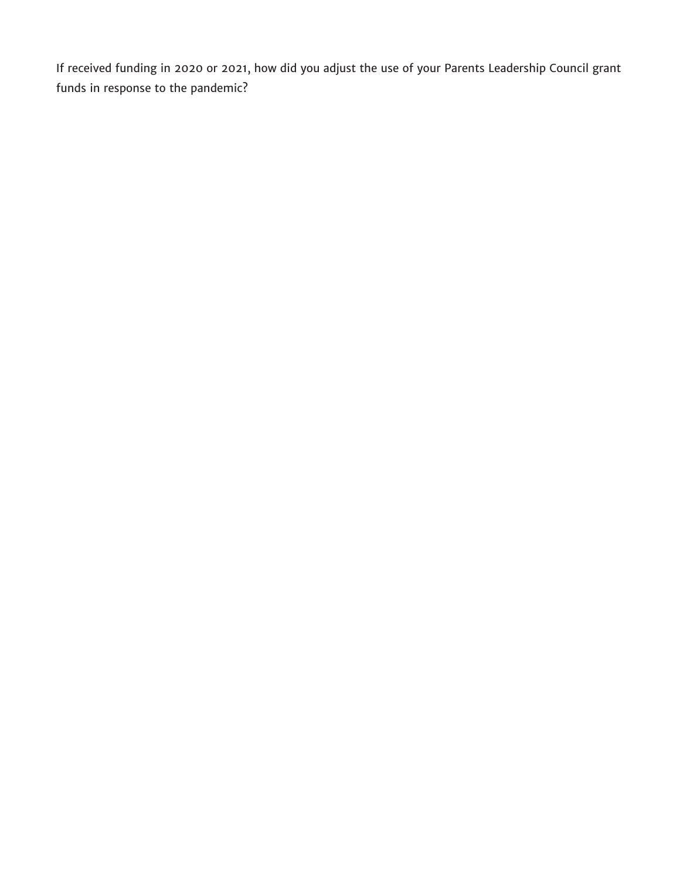If received funding in 2020 or 2021, how did you adjust the use of your Parents Leadership Council grant funds in response to the pandemic?